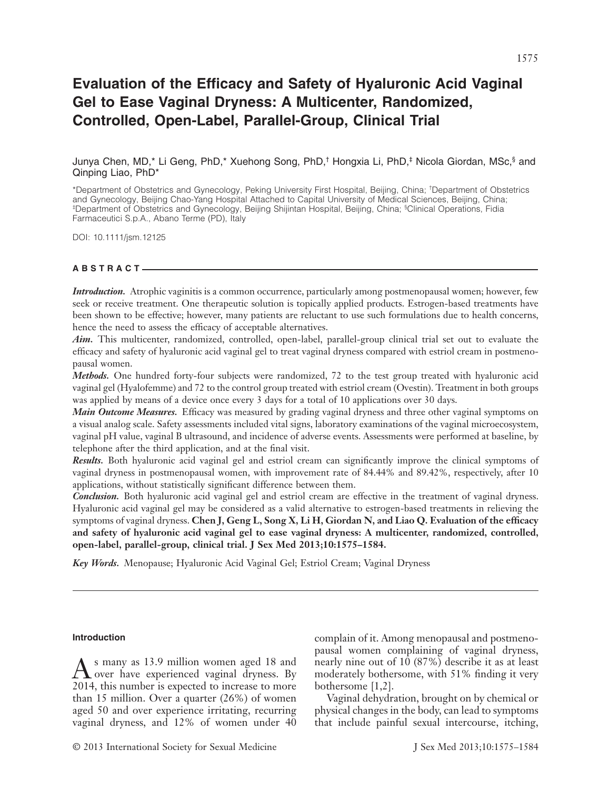# **Evaluation of the Efficacy and Safety of Hyaluronic Acid Vaginal Gel to Ease Vaginal Dryness: A Multicenter, Randomized, Controlled, Open-Label, Parallel-Group, Clinical Trial**

Junya Chen, MD,\* Li Geng, PhD,\* Xuehong Song, PhD,† Hongxia Li, PhD,‡ Nicola Giordan, MSc,§ and Qinping Liao, PhD\*

\*Department of Obstetrics and Gynecology, Peking University First Hospital, Beijing, China; † Department of Obstetrics and Gynecology, Beijing Chao-Yang Hospital Attached to Capital University of Medical Sciences, Beijing, China; ‡ Department of Obstetrics and Gynecology, Beijing Shijintan Hospital, Beijing, China; § Clinical Operations, Fidia Farmaceutici S.p.A., Abano Terme (PD), Italy

DOI: 10.1111/jsm.12125

#### **ABSTRACT**

*Introduction.* Atrophic vaginitis is a common occurrence, particularly among postmenopausal women; however, few seek or receive treatment. One therapeutic solution is topically applied products. Estrogen-based treatments have been shown to be effective; however, many patients are reluctant to use such formulations due to health concerns, hence the need to assess the efficacy of acceptable alternatives.

*Aim.* This multicenter, randomized, controlled, open-label, parallel-group clinical trial set out to evaluate the efficacy and safety of hyaluronic acid vaginal gel to treat vaginal dryness compared with estriol cream in postmenopausal women.

*Methods.* One hundred forty-four subjects were randomized, 72 to the test group treated with hyaluronic acid vaginal gel (Hyalofemme) and 72 to the control group treated with estriol cream (Ovestin). Treatment in both groups was applied by means of a device once every 3 days for a total of 10 applications over 30 days.

*Main Outcome Measures.* Efficacy was measured by grading vaginal dryness and three other vaginal symptoms on a visual analog scale. Safety assessments included vital signs, laboratory examinations of the vaginal microecosystem, vaginal pH value, vaginal B ultrasound, and incidence of adverse events. Assessments were performed at baseline, by telephone after the third application, and at the final visit.

*Results.* Both hyaluronic acid vaginal gel and estriol cream can significantly improve the clinical symptoms of vaginal dryness in postmenopausal women, with improvement rate of 84.44% and 89.42%, respectively, after 10 applications, without statistically significant difference between them.

*Conclusion.* Both hyaluronic acid vaginal gel and estriol cream are effective in the treatment of vaginal dryness. Hyaluronic acid vaginal gel may be considered as a valid alternative to estrogen-based treatments in relieving the symptoms of vaginal dryness. **Chen J, Geng L, Song X, Li H, Giordan N, and Liao Q. Evaluation of the efficacy and safety of hyaluronic acid vaginal gel to ease vaginal dryness: A multicenter, randomized, controlled, open-label, parallel-group, clinical trial. J Sex Med 2013;10:1575–1584.**

*Key Words.* Menopause; Hyaluronic Acid Vaginal Gel; Estriol Cream; Vaginal Dryness

#### **Introduction**

As many as 13.9 million women aged 18 and<br>
over have experienced vaginal dryness. By 2014, this number is expected to increase to more than 15 million. Over a quarter (26%) of women aged 50 and over experience irritating, recurring vaginal dryness, and 12% of women under 40

complain of it. Among menopausal and postmenopausal women complaining of vaginal dryness, nearly nine out of 10 (87%) describe it as at least moderately bothersome, with 51% finding it very bothersome [1,2].

Vaginal dehydration, brought on by chemical or physical changes in the body, can lead to symptoms that include painful sexual intercourse, itching,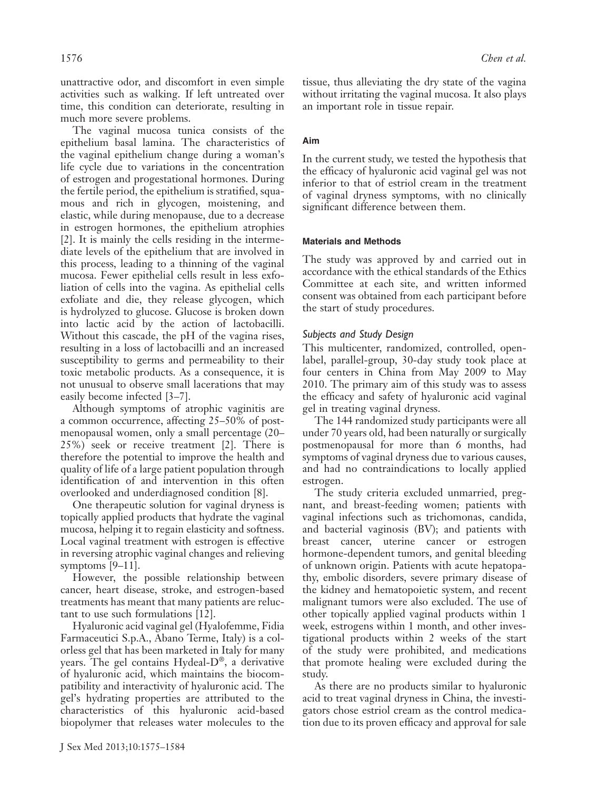unattractive odor, and discomfort in even simple activities such as walking. If left untreated over time, this condition can deteriorate, resulting in much more severe problems.

The vaginal mucosa tunica consists of the epithelium basal lamina. The characteristics of the vaginal epithelium change during a woman's life cycle due to variations in the concentration of estrogen and progestational hormones. During the fertile period, the epithelium is stratified, squamous and rich in glycogen, moistening, and elastic, while during menopause, due to a decrease in estrogen hormones, the epithelium atrophies [2]. It is mainly the cells residing in the intermediate levels of the epithelium that are involved in this process, leading to a thinning of the vaginal mucosa. Fewer epithelial cells result in less exfoliation of cells into the vagina. As epithelial cells exfoliate and die, they release glycogen, which is hydrolyzed to glucose. Glucose is broken down into lactic acid by the action of lactobacilli. Without this cascade, the pH of the vagina rises, resulting in a loss of lactobacilli and an increased susceptibility to germs and permeability to their toxic metabolic products. As a consequence, it is not unusual to observe small lacerations that may easily become infected [3–7].

Although symptoms of atrophic vaginitis are a common occurrence, affecting 25–50% of postmenopausal women, only a small percentage (20– 25%) seek or receive treatment [2]. There is therefore the potential to improve the health and quality of life of a large patient population through identification of and intervention in this often overlooked and underdiagnosed condition [8].

One therapeutic solution for vaginal dryness is topically applied products that hydrate the vaginal mucosa, helping it to regain elasticity and softness. Local vaginal treatment with estrogen is effective in reversing atrophic vaginal changes and relieving symptoms [9–11].

However, the possible relationship between cancer, heart disease, stroke, and estrogen-based treatments has meant that many patients are reluctant to use such formulations [12].

Hyaluronic acid vaginal gel (Hyalofemme, Fidia Farmaceutici S.p.A., Abano Terme, Italy) is a colorless gel that has been marketed in Italy for many years. The gel contains Hydeal-D®, a derivative of hyaluronic acid, which maintains the biocompatibility and interactivity of hyaluronic acid. The gel's hydrating properties are attributed to the characteristics of this hyaluronic acid-based biopolymer that releases water molecules to the

tissue, thus alleviating the dry state of the vagina without irritating the vaginal mucosa. It also plays an important role in tissue repair.

## **Aim**

In the current study, we tested the hypothesis that the efficacy of hyaluronic acid vaginal gel was not inferior to that of estriol cream in the treatment of vaginal dryness symptoms, with no clinically significant difference between them.

## **Materials and Methods**

The study was approved by and carried out in accordance with the ethical standards of the Ethics Committee at each site, and written informed consent was obtained from each participant before the start of study procedures.

## *Subjects and Study Design*

This multicenter, randomized, controlled, openlabel, parallel-group, 30-day study took place at four centers in China from May 2009 to May 2010. The primary aim of this study was to assess the efficacy and safety of hyaluronic acid vaginal gel in treating vaginal dryness.

The 144 randomized study participants were all under 70 years old, had been naturally or surgically postmenopausal for more than 6 months, had symptoms of vaginal dryness due to various causes, and had no contraindications to locally applied estrogen.

The study criteria excluded unmarried, pregnant, and breast-feeding women; patients with vaginal infections such as trichomonas, candida, and bacterial vaginosis (BV); and patients with breast cancer, uterine cancer or estrogen hormone-dependent tumors, and genital bleeding of unknown origin. Patients with acute hepatopathy, embolic disorders, severe primary disease of the kidney and hematopoietic system, and recent malignant tumors were also excluded. The use of other topically applied vaginal products within 1 week, estrogens within 1 month, and other investigational products within 2 weeks of the start of the study were prohibited, and medications that promote healing were excluded during the study.

As there are no products similar to hyaluronic acid to treat vaginal dryness in China, the investigators chose estriol cream as the control medication due to its proven efficacy and approval for sale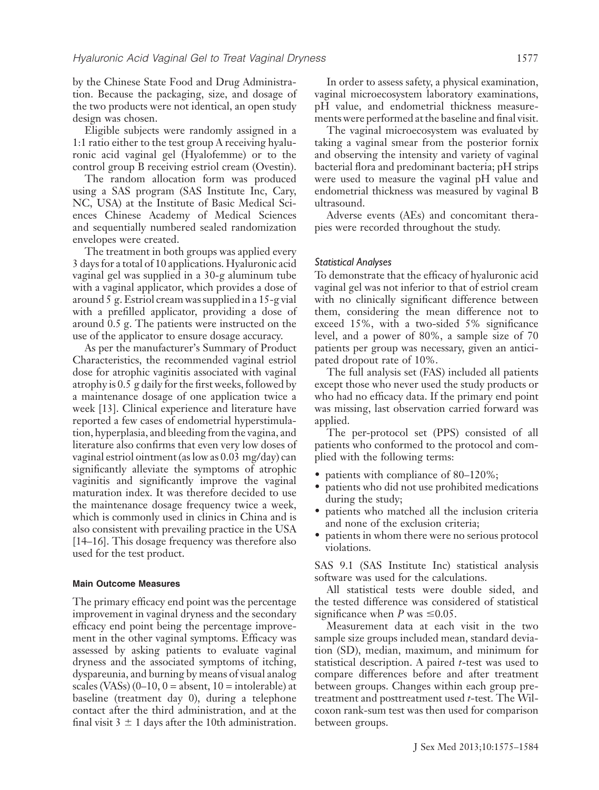by the Chinese State Food and Drug Administration. Because the packaging, size, and dosage of the two products were not identical, an open study design was chosen.

Eligible subjects were randomly assigned in a 1:1 ratio either to the test group A receiving hyaluronic acid vaginal gel (Hyalofemme) or to the control group B receiving estriol cream (Ovestin).

The random allocation form was produced using a SAS program (SAS Institute Inc, Cary, NC, USA) at the Institute of Basic Medical Sciences Chinese Academy of Medical Sciences and sequentially numbered sealed randomization envelopes were created.

The treatment in both groups was applied every 3 days for a total of 10 applications. Hyaluronic acid vaginal gel was supplied in a 30-g aluminum tube with a vaginal applicator, which provides a dose of around 5 g. Estriol cream was supplied in a 15-g vial with a prefilled applicator, providing a dose of around 0.5 g. The patients were instructed on the use of the applicator to ensure dosage accuracy.

As per the manufacturer's Summary of Product Characteristics, the recommended vaginal estriol dose for atrophic vaginitis associated with vaginal atrophy is 0.5 g daily for the first weeks, followed by a maintenance dosage of one application twice a week [13]. Clinical experience and literature have reported a few cases of endometrial hyperstimulation, hyperplasia, and bleeding from the vagina, and literature also confirms that even very low doses of vaginal estriol ointment (as low as 0.03 mg/day) can significantly alleviate the symptoms of atrophic vaginitis and significantly improve the vaginal maturation index. It was therefore decided to use the maintenance dosage frequency twice a week, which is commonly used in clinics in China and is also consistent with prevailing practice in the USA [14–16]. This dosage frequency was therefore also used for the test product.

#### **Main Outcome Measures**

The primary efficacy end point was the percentage improvement in vaginal dryness and the secondary efficacy end point being the percentage improvement in the other vaginal symptoms. Efficacy was assessed by asking patients to evaluate vaginal dryness and the associated symptoms of itching, dyspareunia, and burning by means of visual analog scales (VASs)  $(0-10, 0)$  = absent,  $10$  = intolerable) at baseline (treatment day 0), during a telephone contact after the third administration, and at the final visit  $3 \pm 1$  days after the 10th administration.

In order to assess safety, a physical examination, vaginal microecosystem laboratory examinations, pH value, and endometrial thickness measurements were performed at the baseline and final visit.

The vaginal microecosystem was evaluated by taking a vaginal smear from the posterior fornix and observing the intensity and variety of vaginal bacterial flora and predominant bacteria; pH strips were used to measure the vaginal pH value and endometrial thickness was measured by vaginal B ultrasound.

Adverse events (AEs) and concomitant therapies were recorded throughout the study.

#### *Statistical Analyses*

To demonstrate that the efficacy of hyaluronic acid vaginal gel was not inferior to that of estriol cream with no clinically significant difference between them, considering the mean difference not to exceed 15%, with a two-sided 5% significance level, and a power of 80%, a sample size of 70 patients per group was necessary, given an anticipated dropout rate of 10%.

The full analysis set (FAS) included all patients except those who never used the study products or who had no efficacy data. If the primary end point was missing, last observation carried forward was applied.

The per-protocol set (PPS) consisted of all patients who conformed to the protocol and complied with the following terms:

- patients with compliance of 80–120%;
- patients who did not use prohibited medications during the study;
- patients who matched all the inclusion criteria and none of the exclusion criteria;
- patients in whom there were no serious protocol violations.

SAS 9.1 (SAS Institute Inc) statistical analysis software was used for the calculations.

All statistical tests were double sided, and the tested difference was considered of statistical significance when *P* was  $\leq 0.05$ .

Measurement data at each visit in the two sample size groups included mean, standard deviation (SD), median, maximum, and minimum for statistical description. A paired *t*-test was used to compare differences before and after treatment between groups. Changes within each group pretreatment and posttreatment used *t*-test. The Wilcoxon rank-sum test was then used for comparison between groups.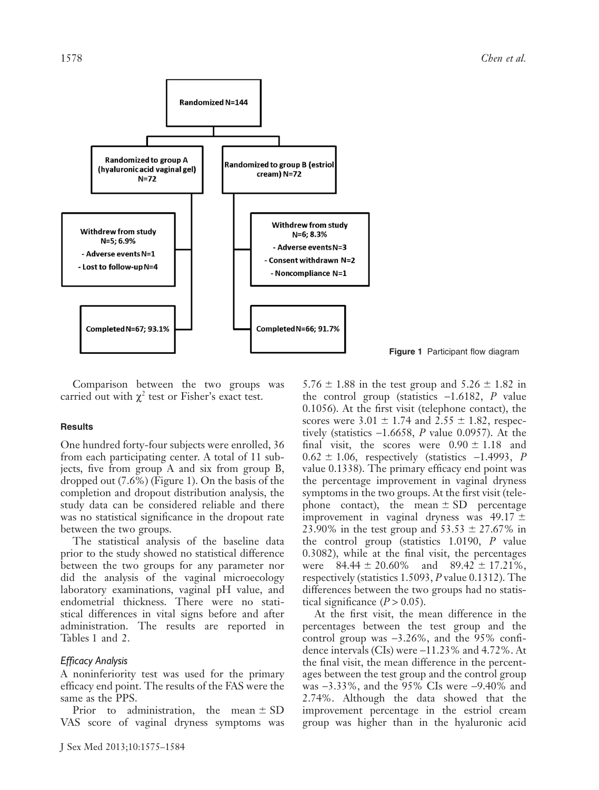

**Figure 1** Participant flow diagram

Comparison between the two groups was carried out with  $\chi^2$  test or Fisher's exact test.

## **Results**

One hundred forty-four subjects were enrolled, 36 from each participating center. A total of 11 subjects, five from group A and six from group B, dropped out (7.6%) (Figure 1). On the basis of the completion and dropout distribution analysis, the study data can be considered reliable and there was no statistical significance in the dropout rate between the two groups.

The statistical analysis of the baseline data prior to the study showed no statistical difference between the two groups for any parameter nor did the analysis of the vaginal microecology laboratory examinations, vaginal pH value, and endometrial thickness. There were no statistical differences in vital signs before and after administration. The results are reported in Tables 1 and 2.

## *Efficacy Analysis*

A noninferiority test was used for the primary efficacy end point. The results of the FAS were the same as the PPS.

Prior to administration, the mean  $\pm$  SD VAS score of vaginal dryness symptoms was

 $5.76 \pm 1.88$  in the test group and  $5.26 \pm 1.82$  in the control group (statistics -1.6182, *P* value 0.1056). At the first visit (telephone contact), the scores were  $3.01 \pm 1.74$  and  $2.55 \pm 1.82$ , respectively (statistics -1.6658, *P* value 0.0957). At the final visit, the scores were  $0.90 \pm 1.18$  and  $0.62 \pm 1.06$ , respectively (statistics  $-1.4993$ , *P* value 0.1338). The primary efficacy end point was the percentage improvement in vaginal dryness symptoms in the two groups. At the first visit (telephone contact), the mean  $\pm$  SD percentage improvement in vaginal dryness was 49.17  $\pm$ 23.90% in the test group and  $53.53 \pm 27.67\%$  in the control group (statistics 1.0190, *P* value 0.3082), while at the final visit, the percentages were  $84.44 \pm 20.60\%$  and  $89.42 \pm 17.21\%$ , respectively (statistics 1.5093, *P* value 0.1312). The differences between the two groups had no statistical significance  $(P > 0.05)$ .

At the first visit, the mean difference in the percentages between the test group and the control group was  $-3.26\%$ , and the 95% confidence intervals (CIs) were -11.23% and 4.72%. At the final visit, the mean difference in the percentages between the test group and the control group was -3.33%, and the 95% CIs were -9.40% and 2.74%. Although the data showed that the improvement percentage in the estriol cream group was higher than in the hyaluronic acid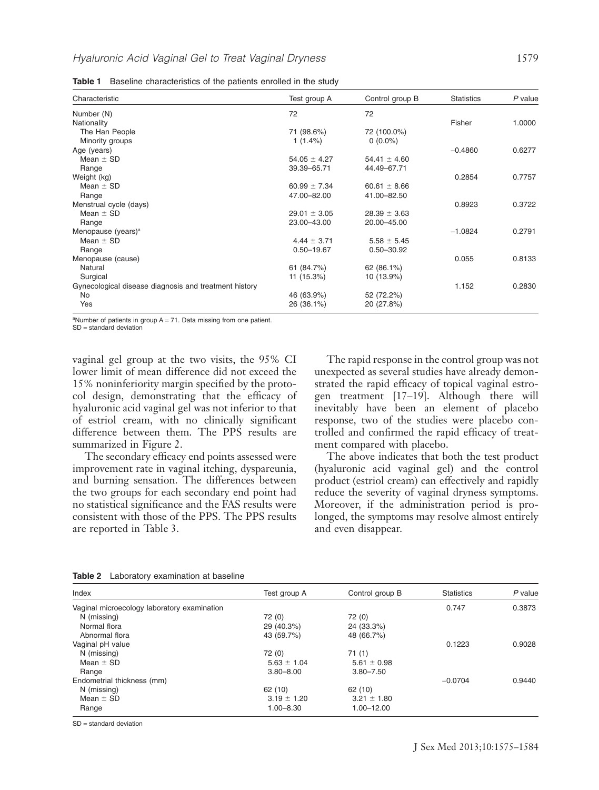|                                                       |                  |                  | <b>Statistics</b> | $P$ value |
|-------------------------------------------------------|------------------|------------------|-------------------|-----------|
| Number (N)                                            | 72               | 72               |                   |           |
| Nationality                                           |                  |                  | Fisher            | 1.0000    |
| The Han People                                        | 71 (98.6%)       | 72 (100.0%)      |                   |           |
| Minority groups                                       | 1(1.4%)          | $0(0.0\%)$       |                   |           |
| Age (years)                                           |                  |                  | $-0.4860$         | 0.6277    |
| Mean $\pm$ SD                                         | $54.05 \pm 4.27$ | $54.41 \pm 4.60$ |                   |           |
| Range                                                 | 39.39-65.71      | 44.49-67.71      |                   |           |
| Weight (kg)                                           |                  |                  | 0.2854            | 0.7757    |
| Mean $\pm$ SD                                         | $60.99 \pm 7.34$ | $60.61 \pm 8.66$ |                   |           |
| Range                                                 | 47.00-82.00      | 41.00-82.50      |                   |           |
| Menstrual cycle (days)                                |                  |                  | 0.8923            | 0.3722    |
| Mean $\pm$ SD                                         | $29.01 \pm 3.05$ | $28.39 \pm 3.63$ |                   |           |
| Range                                                 | 23.00-43.00      | 20.00-45.00      |                   |           |
| Menopause (years) <sup>a</sup>                        |                  |                  | $-1.0824$         | 0.2791    |
| Mean $\pm$ SD                                         | $4.44 \pm 3.71$  | $5.58 \pm 5.45$  |                   |           |
| Range                                                 | $0.50 - 19.67$   | $0.50 - 30.92$   |                   |           |
| Menopause (cause)                                     |                  |                  | 0.055             | 0.8133    |
| Natural                                               | 61 (84.7%)       | 62 (86.1%)       |                   |           |
| Surgical                                              | 11 $(15.3%)$     | 10 (13.9%)       |                   |           |
| Gynecological disease diagnosis and treatment history |                  |                  | 1.152             | 0.2830    |
| No                                                    | 46 (63.9%)       | 52 (72.2%)       |                   |           |
| Yes                                                   | 26 (36.1%)       | 20 (27.8%)       |                   |           |

**Table 1** Baseline characteristics of the patients enrolled in the study

<sup>a</sup>Number of patients in group  $A = 71$ . Data missing from one patient.

 $SD =$  standard deviation

vaginal gel group at the two visits, the 95% CI lower limit of mean difference did not exceed the 15% noninferiority margin specified by the protocol design, demonstrating that the efficacy of hyaluronic acid vaginal gel was not inferior to that of estriol cream, with no clinically significant difference between them. The PPS results are summarized in Figure 2.

The secondary efficacy end points assessed were improvement rate in vaginal itching, dyspareunia, and burning sensation. The differences between the two groups for each secondary end point had no statistical significance and the FAS results were consistent with those of the PPS. The PPS results are reported in Table 3.

The rapid response in the control group was not unexpected as several studies have already demonstrated the rapid efficacy of topical vaginal estrogen treatment [17–19]. Although there will inevitably have been an element of placebo response, two of the studies were placebo controlled and confirmed the rapid efficacy of treatment compared with placebo.

The above indicates that both the test product (hyaluronic acid vaginal gel) and the control product (estriol cream) can effectively and rapidly reduce the severity of vaginal dryness symptoms. Moreover, if the administration period is prolonged, the symptoms may resolve almost entirely and even disappear.

| Index                                       | Test group A    | Control group B | <b>Statistics</b> | $P$ value |
|---------------------------------------------|-----------------|-----------------|-------------------|-----------|
| Vaginal microecology laboratory examination |                 |                 | 0.747             | 0.3873    |
| N (missing)                                 | 72(0)           | 72(0)           |                   |           |
| Normal flora                                | 29 (40.3%)      | 24 (33.3%)      |                   |           |
| Abnormal flora                              | 43 (59.7%)      | 48 (66.7%)      |                   |           |
| Vaginal pH value                            |                 |                 | 0.1223            | 0.9028    |
| N (missing)                                 | 72(0)           | 71(1)           |                   |           |
| Mean $\pm$ SD                               | $5.63 \pm 1.04$ | $5.61 \pm 0.98$ |                   |           |
| Range                                       | $3.80 - 8.00$   | $3.80 - 7.50$   |                   |           |
| Endometrial thickness (mm)                  |                 |                 | $-0.0704$         | 0.9440    |
| N (missing)                                 | 62 (10)         | 62(10)          |                   |           |
| Mean $\pm$ SD                               | $3.19 \pm 1.20$ | $3.21 \pm 1.80$ |                   |           |
| Range                                       | $1.00 - 8.30$   | $1.00 - 12.00$  |                   |           |

**Table 2** Laboratory examination at baseline

SD = standard deviation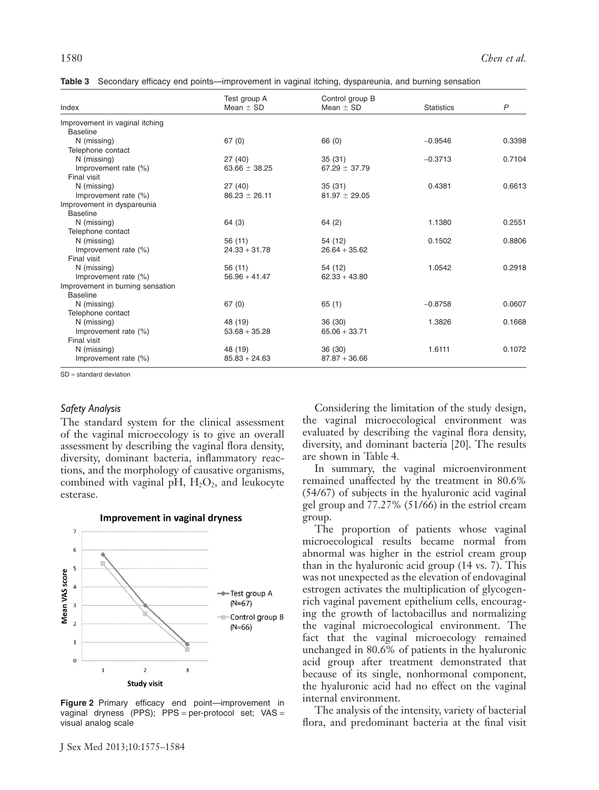|  |  |  |  | Table 3 Secondary efficacy end points—improvement in vaginal itching, dyspareunia, and burning sensation |  |  |  |  |  |
|--|--|--|--|----------------------------------------------------------------------------------------------------------|--|--|--|--|--|
|--|--|--|--|----------------------------------------------------------------------------------------------------------|--|--|--|--|--|

| Index                            | Test group A<br>Mean $\pm$ SD | Control group B<br>Mean $\pm$ SD | <b>Statistics</b> | $\overline{P}$ |
|----------------------------------|-------------------------------|----------------------------------|-------------------|----------------|
| Improvement in vaginal itching   |                               |                                  |                   |                |
| <b>Baseline</b>                  |                               |                                  |                   |                |
| N (missing)                      | 67(0)                         | 66 (0)                           | $-0.9546$         | 0.3398         |
| Telephone contact                |                               |                                  |                   |                |
| N (missing)                      | 27(40)                        | 35(31)                           | $-0.3713$         | 0.7104         |
| Improvement rate (%)             | $63.66 \pm 38.25$             | $67.29 \pm 37.79$                |                   |                |
| Final visit                      |                               |                                  |                   |                |
| N (missing)                      | 27(40)                        | 35(31)                           | 0.4381            | 0.6613         |
| Improvement rate (%)             | $86.23 \pm 26.11$             | $81.97 \pm 29.05$                |                   |                |
| Improvement in dyspareunia       |                               |                                  |                   |                |
| <b>Baseline</b>                  |                               |                                  |                   |                |
| N (missing)                      | 64 (3)                        | 64(2)                            | 1.1380            | 0.2551         |
| Telephone contact                |                               |                                  |                   |                |
| N (missing)                      | 56 (11)                       | 54 (12)                          | 0.1502            | 0.8806         |
| Improvement rate (%)             | $24.33 + 31.78$               | $26.64 + 35.62$                  |                   |                |
| Final visit                      |                               |                                  |                   |                |
| N (missing)                      | 56(11)                        | 54 (12)                          | 1.0542            | 0.2918         |
| Improvement rate (%)             | $56.96 + 41.47$               | $62.33 + 43.80$                  |                   |                |
| Improvement in burning sensation |                               |                                  |                   |                |
| <b>Baseline</b>                  |                               |                                  |                   |                |
| N (missing)                      | 67(0)                         | 65(1)                            | $-0.8758$         | 0.0607         |
| Telephone contact                |                               |                                  |                   |                |
| N (missing)                      | 48 (19)                       | 36 (30)                          | 1.3826            | 0.1668         |
| Improvement rate (%)             | $53.68 + 35.28$               | $65.06 + 33.71$                  |                   |                |
| Final visit                      |                               |                                  |                   |                |
| N (missing)                      | 48 (19)                       | 36(30)                           | 1.6111            | 0.1072         |
| Improvement rate (%)             | $85.83 + 24.63$               | $87.87 + 36.66$                  |                   |                |

SD = standard deviation

## *Safety Analysis*

The standard system for the clinical assessment of the vaginal microecology is to give an overall assessment by describing the vaginal flora density, diversity, dominant bacteria, inflammatory reactions, and the morphology of causative organisms, combined with vaginal pH,  $H_2O_2$ , and leukocyte esterase.



Improvement in vaginal dryness

**Figure 2** Primary efficacy end point—improvement in vaginal dryness (PPS); PPS = per-protocol set; VAS = visual analog scale

Considering the limitation of the study design, the vaginal microecological environment was evaluated by describing the vaginal flora density, diversity, and dominant bacteria [20]. The results are shown in Table 4.

In summary, the vaginal microenvironment remained unaffected by the treatment in 80.6% (54/67) of subjects in the hyaluronic acid vaginal gel group and 77.27% (51/66) in the estriol cream group.

The proportion of patients whose vaginal microecological results became normal from abnormal was higher in the estriol cream group than in the hyaluronic acid group (14 vs. 7). This was not unexpected as the elevation of endovaginal estrogen activates the multiplication of glycogenrich vaginal pavement epithelium cells, encouraging the growth of lactobacillus and normalizing the vaginal microecological environment. The fact that the vaginal microecology remained unchanged in 80.6% of patients in the hyaluronic acid group after treatment demonstrated that because of its single, nonhormonal component, the hyaluronic acid had no effect on the vaginal internal environment.

The analysis of the intensity, variety of bacterial flora, and predominant bacteria at the final visit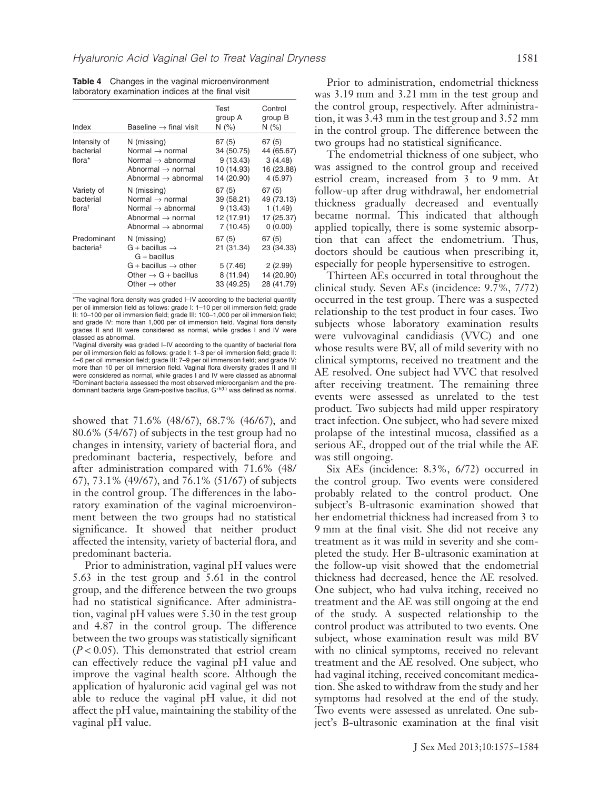| Baseline $\rightarrow$ final visit                                                                                                                                   | Test<br>group A<br>N(% )                                    | Control<br>group B<br>N(% )                                |
|----------------------------------------------------------------------------------------------------------------------------------------------------------------------|-------------------------------------------------------------|------------------------------------------------------------|
| N (missing)<br>Normal $\rightarrow$ normal<br>Normal $\rightarrow$ abnormal<br>Abnormal $\rightarrow$ normal<br>Abnormal $\rightarrow$ abnormal                      | 67(5)<br>34 (50.75)<br>9(13.43)<br>10 (14.93)<br>14 (20.90) | 67(5)<br>44 (65.67)<br>3(4.48)<br>16 (23.88)<br>4(5.97)    |
| N (missing)<br>Normal $\rightarrow$ normal<br>Normal $\rightarrow$ abnormal<br>Abnormal $\rightarrow$ normal<br>Abnormal $\rightarrow$ abnormal                      | 67(5)<br>39 (58.21)<br>9 (13.43)<br>12 (17.91)<br>7(10.45)  | 67(5)<br>49 (73.13)<br>1(1.49)<br>17 (25.37)<br>0(0.00)    |
| N (missing)<br>$G +$ bacillus $\rightarrow$<br>$G +$ bacillus<br>$G +$ bacillus $\rightarrow$ other<br>Other $\rightarrow$ G + bacillus<br>Other $\rightarrow$ other | 67(5)<br>21 (31.34)<br>5 (7.46)<br>8 (11.94)<br>33 (49.25)  | 67(5)<br>23 (34.33)<br>2(2.99)<br>14 (20.90)<br>28 (41.79) |
|                                                                                                                                                                      |                                                             |                                                            |

**Table 4** Changes in the vaginal microenvironment laboratory examination indices at the final visit

\*The vaginal flora density was graded I–IV according to the bacterial quantity per oil immersion field as follows: grade I: 1–10 per oil immersion field; grade II: 10–100 per oil immersion field; grade III: 100–1,000 per oil immersion field; and grade IV: more than 1,000 per oil immersion field. Vaginal flora density grades II and III were considered as normal, while grades I and IV were classed as abnormal.

†Vaginal diversity was graded I–IV according to the quantity of bacterial flora per oil immersion field as follows: grade I: 1–3 per oil immersion field; grade II: 4–6 per oil immersion field; grade III: 7–9 per oil immersion field; and grade IV: more than 10 per oil immersion field. Vaginal flora diversity grades II and III were considered as normal, while grades I and IV were classed as abnormal ‡Dominant bacteria assessed the most observed microorganism and the predominant bacteria large Gram-positive bacillus,  $G^{+b(L)}$  was defined as normal.

showed that 71.6% (48/67), 68.7% (46/67), and 80.6% (54/67) of subjects in the test group had no changes in intensity, variety of bacterial flora, and predominant bacteria, respectively, before and after administration compared with 71.6% (48/ 67), 73.1% (49/67), and 76.1% (51/67) of subjects in the control group. The differences in the laboratory examination of the vaginal microenvironment between the two groups had no statistical significance. It showed that neither product affected the intensity, variety of bacterial flora, and predominant bacteria.

Prior to administration, vaginal pH values were 5.63 in the test group and 5.61 in the control group, and the difference between the two groups had no statistical significance. After administration, vaginal pH values were 5.30 in the test group and 4.87 in the control group. The difference between the two groups was statistically significant  $(P < 0.05)$ . This demonstrated that estriol cream can effectively reduce the vaginal pH value and improve the vaginal health score. Although the application of hyaluronic acid vaginal gel was not able to reduce the vaginal pH value, it did not affect the pH value, maintaining the stability of the vaginal pH value.

Prior to administration, endometrial thickness was 3.19 mm and 3.21 mm in the test group and the control group, respectively. After administration, it was 3.43 mm in the test group and 3.52 mm in the control group. The difference between the two groups had no statistical significance.

The endometrial thickness of one subject, who was assigned to the control group and received estriol cream, increased from 3 to 9 mm. At follow-up after drug withdrawal, her endometrial thickness gradually decreased and eventually became normal. This indicated that although applied topically, there is some systemic absorption that can affect the endometrium. Thus, doctors should be cautious when prescribing it, especially for people hypersensitive to estrogen.

Thirteen AEs occurred in total throughout the clinical study. Seven AEs (incidence: 9.7%, 7/72) occurred in the test group. There was a suspected relationship to the test product in four cases. Two subjects whose laboratory examination results were vulvovaginal candidiasis (VVC) and one whose results were BV, all of mild severity with no clinical symptoms, received no treatment and the AE resolved. One subject had VVC that resolved after receiving treatment. The remaining three events were assessed as unrelated to the test product. Two subjects had mild upper respiratory tract infection. One subject, who had severe mixed prolapse of the intestinal mucosa, classified as a serious AE, dropped out of the trial while the AE was still ongoing.

Six AEs (incidence: 8.3%, 6/72) occurred in the control group. Two events were considered probably related to the control product. One subject's B-ultrasonic examination showed that her endometrial thickness had increased from 3 to 9 mm at the final visit. She did not receive any treatment as it was mild in severity and she completed the study. Her B-ultrasonic examination at the follow-up visit showed that the endometrial thickness had decreased, hence the AE resolved. One subject, who had vulva itching, received no treatment and the AE was still ongoing at the end of the study. A suspected relationship to the control product was attributed to two events. One subject, whose examination result was mild BV with no clinical symptoms, received no relevant treatment and the AE resolved. One subject, who had vaginal itching, received concomitant medication. She asked to withdraw from the study and her symptoms had resolved at the end of the study. Two events were assessed as unrelated. One subject's B-ultrasonic examination at the final visit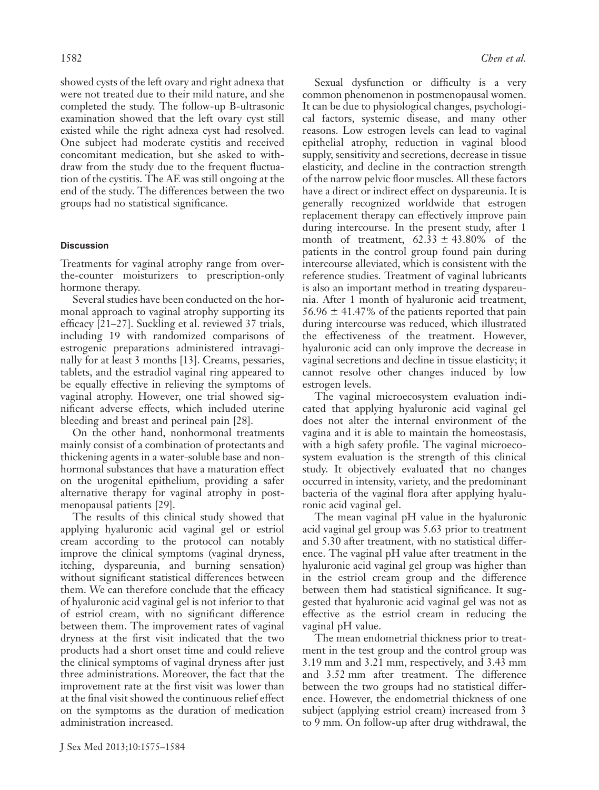showed cysts of the left ovary and right adnexa that were not treated due to their mild nature, and she completed the study. The follow-up B-ultrasonic examination showed that the left ovary cyst still existed while the right adnexa cyst had resolved. One subject had moderate cystitis and received concomitant medication, but she asked to withdraw from the study due to the frequent fluctuation of the cystitis. The AE was still ongoing at the end of the study. The differences between the two groups had no statistical significance.

## **Discussion**

Treatments for vaginal atrophy range from overthe-counter moisturizers to prescription-only hormone therapy.

Several studies have been conducted on the hormonal approach to vaginal atrophy supporting its efficacy [21–27]. Suckling et al. reviewed 37 trials, including 19 with randomized comparisons of estrogenic preparations administered intravaginally for at least 3 months [13]. Creams, pessaries, tablets, and the estradiol vaginal ring appeared to be equally effective in relieving the symptoms of vaginal atrophy. However, one trial showed significant adverse effects, which included uterine bleeding and breast and perineal pain [28].

On the other hand, nonhormonal treatments mainly consist of a combination of protectants and thickening agents in a water-soluble base and nonhormonal substances that have a maturation effect on the urogenital epithelium, providing a safer alternative therapy for vaginal atrophy in postmenopausal patients [29].

The results of this clinical study showed that applying hyaluronic acid vaginal gel or estriol cream according to the protocol can notably improve the clinical symptoms (vaginal dryness, itching, dyspareunia, and burning sensation) without significant statistical differences between them. We can therefore conclude that the efficacy of hyaluronic acid vaginal gel is not inferior to that of estriol cream, with no significant difference between them. The improvement rates of vaginal dryness at the first visit indicated that the two products had a short onset time and could relieve the clinical symptoms of vaginal dryness after just three administrations. Moreover, the fact that the improvement rate at the first visit was lower than at the final visit showed the continuous relief effect on the symptoms as the duration of medication administration increased.

Sexual dysfunction or difficulty is a very common phenomenon in postmenopausal women. It can be due to physiological changes, psychological factors, systemic disease, and many other reasons. Low estrogen levels can lead to vaginal epithelial atrophy, reduction in vaginal blood supply, sensitivity and secretions, decrease in tissue elasticity, and decline in the contraction strength of the narrow pelvic floor muscles. All these factors have a direct or indirect effect on dyspareunia. It is generally recognized worldwide that estrogen replacement therapy can effectively improve pain during intercourse. In the present study, after 1 month of treatment,  $62.33 \pm 43.80\%$  of the patients in the control group found pain during intercourse alleviated, which is consistent with the reference studies. Treatment of vaginal lubricants is also an important method in treating dyspareunia. After 1 month of hyaluronic acid treatment,  $56.96 \pm 41.47\%$  of the patients reported that pain during intercourse was reduced, which illustrated the effectiveness of the treatment. However, hyaluronic acid can only improve the decrease in vaginal secretions and decline in tissue elasticity; it cannot resolve other changes induced by low estrogen levels.

The vaginal microecosystem evaluation indicated that applying hyaluronic acid vaginal gel does not alter the internal environment of the vagina and it is able to maintain the homeostasis, with a high safety profile. The vaginal microecosystem evaluation is the strength of this clinical study. It objectively evaluated that no changes occurred in intensity, variety, and the predominant bacteria of the vaginal flora after applying hyaluronic acid vaginal gel.

The mean vaginal pH value in the hyaluronic acid vaginal gel group was 5.63 prior to treatment and 5.30 after treatment, with no statistical difference. The vaginal pH value after treatment in the hyaluronic acid vaginal gel group was higher than in the estriol cream group and the difference between them had statistical significance. It suggested that hyaluronic acid vaginal gel was not as effective as the estriol cream in reducing the vaginal pH value.

The mean endometrial thickness prior to treatment in the test group and the control group was 3.19 mm and 3.21 mm, respectively, and 3.43 mm and 3.52 mm after treatment. The difference between the two groups had no statistical difference. However, the endometrial thickness of one subject (applying estriol cream) increased from 3 to 9 mm. On follow-up after drug withdrawal, the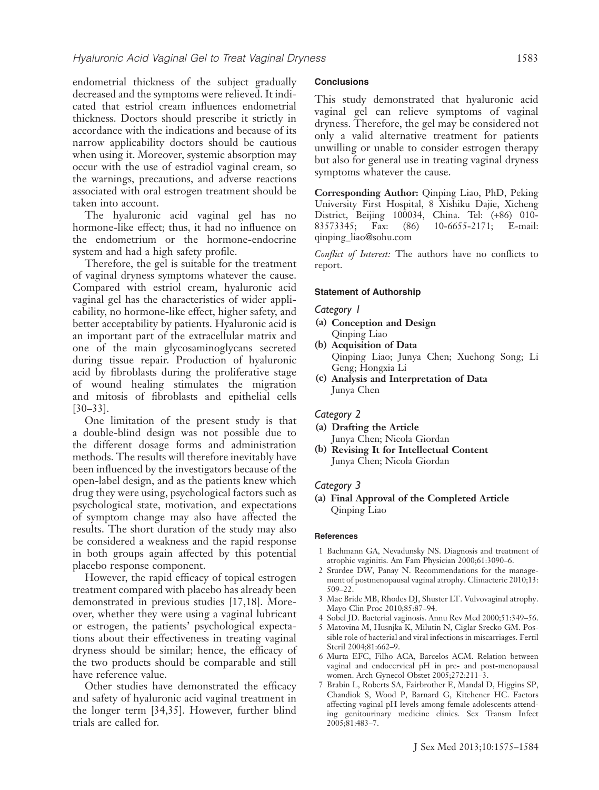endometrial thickness of the subject gradually decreased and the symptoms were relieved. It indicated that estriol cream influences endometrial thickness. Doctors should prescribe it strictly in accordance with the indications and because of its narrow applicability doctors should be cautious when using it. Moreover, systemic absorption may occur with the use of estradiol vaginal cream, so the warnings, precautions, and adverse reactions associated with oral estrogen treatment should be taken into account.

The hyaluronic acid vaginal gel has no hormone-like effect; thus, it had no influence on the endometrium or the hormone-endocrine system and had a high safety profile.

Therefore, the gel is suitable for the treatment of vaginal dryness symptoms whatever the cause. Compared with estriol cream, hyaluronic acid vaginal gel has the characteristics of wider applicability, no hormone-like effect, higher safety, and better acceptability by patients. Hyaluronic acid is an important part of the extracellular matrix and one of the main glycosaminoglycans secreted during tissue repair. Production of hyaluronic acid by fibroblasts during the proliferative stage of wound healing stimulates the migration and mitosis of fibroblasts and epithelial cells [30–33].

One limitation of the present study is that a double-blind design was not possible due to the different dosage forms and administration methods. The results will therefore inevitably have been influenced by the investigators because of the open-label design, and as the patients knew which drug they were using, psychological factors such as psychological state, motivation, and expectations of symptom change may also have affected the results. The short duration of the study may also be considered a weakness and the rapid response in both groups again affected by this potential placebo response component.

However, the rapid efficacy of topical estrogen treatment compared with placebo has already been demonstrated in previous studies [17,18]. Moreover, whether they were using a vaginal lubricant or estrogen, the patients' psychological expectations about their effectiveness in treating vaginal dryness should be similar; hence, the efficacy of the two products should be comparable and still have reference value.

Other studies have demonstrated the efficacy and safety of hyaluronic acid vaginal treatment in the longer term [34,35]. However, further blind trials are called for.

## **Conclusions**

This study demonstrated that hyaluronic acid vaginal gel can relieve symptoms of vaginal dryness. Therefore, the gel may be considered not only a valid alternative treatment for patients unwilling or unable to consider estrogen therapy but also for general use in treating vaginal dryness symptoms whatever the cause.

**Corresponding Author:** Qinping Liao, PhD, Peking University First Hospital, 8 Xishiku Dajie, Xicheng District, Beijing 100034, China. Tel: (+86) 010- 83573345; Fax: (86) 10-6655-2171; E-mail: [qinping\\_liao@sohu.com](mailto:qinping_liao@sohu.com)

*Conflict of Interest:* The authors have no conflicts to report.

#### **Statement of Authorship**

*Category 1*

- **(a) Conception and Design** Qinping Liao
- **(b) Acquisition of Data** Qinping Liao; Junya Chen; Xuehong Song; Li Geng; Hongxia Li
- **(c) Analysis and Interpretation of Data** Junya Chen

#### *Category 2*

- **(a) Drafting the Article** Junya Chen; Nicola Giordan
- **(b) Revising It for Intellectual Content** Junya Chen; Nicola Giordan

#### *Category 3*

**(a) Final Approval of the Completed Article** Qinping Liao

#### **References**

- 1 Bachmann GA, Nevadunsky NS. Diagnosis and treatment of atrophic vaginitis. Am Fam Physician 2000;61:3090–6.
- 2 Sturdee DW, Panay N. Recommendations for the management of postmenopausal vaginal atrophy. Climacteric 2010;13: 509–22.
- 3 Mac Bride MB, Rhodes DJ, Shuster LT. Vulvovaginal atrophy. Mayo Clin Proc 2010;85:87–94.
- 4 Sobel JD. Bacterial vaginosis. Annu Rev Med 2000;51:349–56.
- 5 Matovina M, Husnjka K, Milutin N, Ciglar Srecko GM. Possible role of bacterial and viral infections in miscarriages. Fertil Steril 2004;81:662–9.
- 6 Murta EFC, Filho ACA, Barcelos ACM. Relation between vaginal and endocervical pH in pre- and post-menopausal women. Arch Gynecol Obstet 2005;272:211–3.
- 7 Brabin L, Roberts SA, Fairbrother E, Mandal D, Higgins SP, Chandiok S, Wood P, Barnard G, Kitchener HC. Factors affecting vaginal pH levels among female adolescents attending genitourinary medicine clinics. Sex Transm Infect 2005;81:483–7.